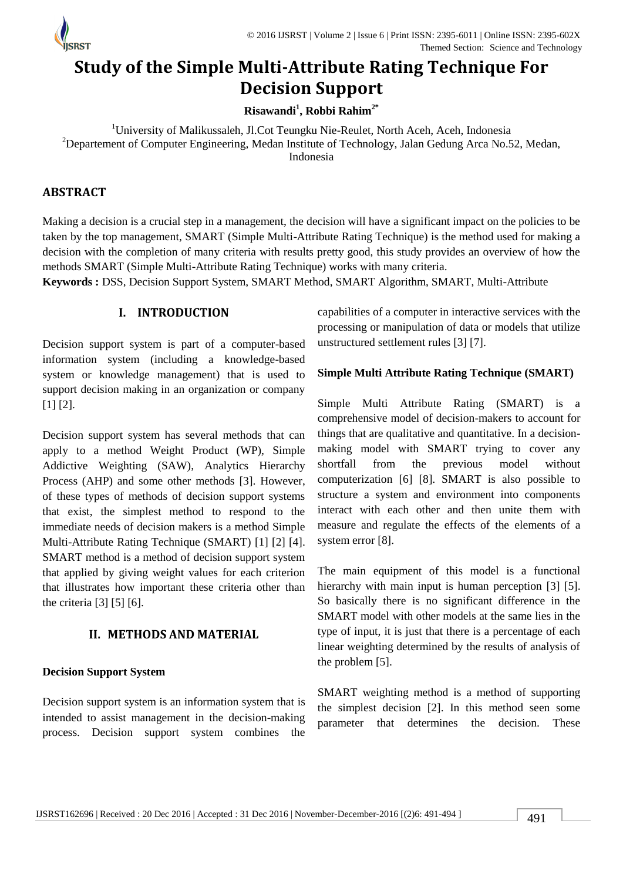

# **Study of the Simple Multi-Attribute Rating Technique For Decision Support**

**Risawandi<sup>1</sup> , Robbi Rahim2\***

<sup>1</sup>University of Malikussaleh, Jl.Cot Teungku Nie-Reulet, North Aceh, Aceh, Indonesia <sup>2</sup>Departement of Computer Engineering, Medan Institute of Technology, Jalan Gedung Arca No.52, Medan, Indonesia

## **ABSTRACT**

Making a decision is a crucial step in a management, the decision will have a significant impact on the policies to be taken by the top management, SMART (Simple Multi-Attribute Rating Technique) is the method used for making a decision with the completion of many criteria with results pretty good, this study provides an overview of how the methods SMART (Simple Multi-Attribute Rating Technique) works with many criteria.

**Keywords :** DSS, Decision Support System, SMART Method, SMART Algorithm, SMART, Multi-Attribute

## **I. INTRODUCTION**

Decision support system is part of a computer-based information system (including a knowledge-based system or knowledge management) that is used to support decision making in an organization or company [1] [2].

Decision support system has several methods that can apply to a method Weight Product (WP), Simple Addictive Weighting (SAW), Analytics Hierarchy Process (AHP) and some other methods [3]. However, of these types of methods of decision support systems that exist, the simplest method to respond to the immediate needs of decision makers is a method Simple Multi-Attribute Rating Technique (SMART) [1] [2] [4]. SMART method is a method of decision support system that applied by giving weight values for each criterion that illustrates how important these criteria other than the criteria [3] [5] [6].

## **II. METHODS AND MATERIAL**

## **Decision Support System**

Decision support system is an information system that is intended to assist management in the decision-making process. Decision support system combines the

capabilities of a computer in interactive services with the processing or manipulation of data or models that utilize unstructured settlement rules [3] [7].

## **Simple Multi Attribute Rating Technique (SMART)**

Simple Multi Attribute Rating (SMART) is a comprehensive model of decision-makers to account for things that are qualitative and quantitative. In a decisionmaking model with SMART trying to cover any shortfall from the previous model without computerization [6] [8]. SMART is also possible to structure a system and environment into components interact with each other and then unite them with measure and regulate the effects of the elements of a system error [8].

The main equipment of this model is a functional hierarchy with main input is human perception [3] [5]. So basically there is no significant difference in the SMART model with other models at the same lies in the type of input, it is just that there is a percentage of each linear weighting determined by the results of analysis of the problem [5].

SMART weighting method is a method of supporting the simplest decision [2]. In this method seen some parameter that determines the decision. These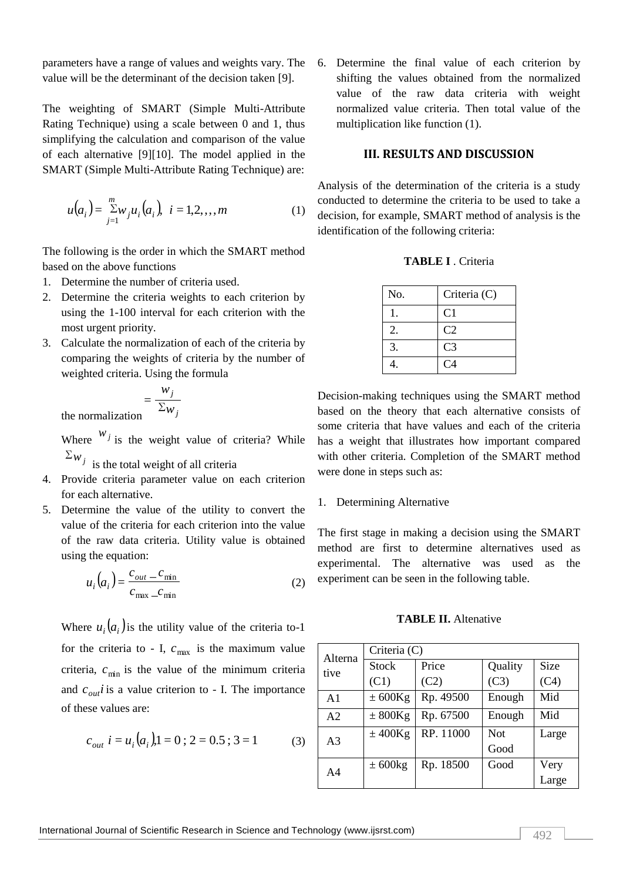value will be the determinant of the decision taken [9].

The weighting of SMART (Simple Multi-Attribute Rating Technique) using a scale between 0 and 1, thus simplifying the calculation and comparison of the value of each alternative [9][10]. The model applied in the SMART (Simple Multi-Attribute Rating Technique) are:

$$
u(a_i) = \sum_{j=1}^{m} w_j u_i(a_i), \quad i = 1, 2, \dots, m
$$
 (1)

The following is the order in which the SMART method based on the above functions

- 1. Determine the number of criteria used.
- 2. Determine the criteria weights to each criterion by using the 1-100 interval for each criterion with the most urgent priority.
- 3. Calculate the normalization of each of the criteria by comparing the weights of criteria by the number of weighted criteria. Using the formula

$$
= \frac{w_j}{\Sigma w_j}
$$
 the normalization

Where  $w_j$  is the weight value of criteria? While  $\sum_{j}$  is the total weight of all criteria

- 
- 4. Provide criteria parameter value on each criterion for each alternative.
- 5. Determine the value of the utility to convert the value of the criteria for each criterion into the value of the raw data criteria. Utility value is obtained using the equation:

$$
u_i\left(a_i\right) = \frac{c_{out} - c_{\min}}{c_{\max} - c_{\min}}\tag{2}
$$

Where  $u_i(a_i)$  is the utility value of the criteria to-1 for the criteria to - I,  $c_{\text{max}}$  is the maximum value criteria,  $c_{\min}$  is the value of the minimum criteria and  $c_{out}$  *i* is a value criterion to - I. The importance of these values are:

$$
c_{out} \ i = u_i \big( a_i \big), 1 = 0 \ ; \ 2 = 0.5 \ ; \ 3 = 1 \tag{3}
$$

parameters have a range of values and weights vary. The 6. Determine the final value of each criterion by shifting the values obtained from the normalized value of the raw data criteria with weight normalized value criteria. Then total value of the multiplication like function (1).

#### **III. RESULTS AND DISCUSSION**

Analysis of the determination of the criteria is a study conducted to determine the criteria to be used to take a decision, for example, SMART method of analysis is the identification of the following criteria:

**TABLE I** . Criteria

| No.              | Criteria (C)   |
|------------------|----------------|
|                  | C <sub>1</sub> |
| $\overline{2}$ . | C <sub>2</sub> |
| 3.               | C <sub>3</sub> |
|                  | C <sub>4</sub> |

Decision-making techniques using the SMART method based on the theory that each alternative consists of some criteria that have values and each of the criteria has a weight that illustrates how important compared with other criteria. Completion of the SMART method were done in steps such as:

#### 1. Determining Alternative

The first stage in making a decision using the SMART method are first to determine alternatives used as experimental. The alternative was used as the experiment can be seen in the following table.

#### **TABLE II.** Altenative

| Alterna<br>tive | Criteria (C) |           |            |             |  |  |
|-----------------|--------------|-----------|------------|-------------|--|--|
|                 | <b>Stock</b> | Price     | Quality    | <b>Size</b> |  |  |
|                 | (C1)         | (C2)      | (C3)       | (C4)        |  |  |
| $\mathbf{A}1$   | $\pm 600$ Kg | Rp. 49500 | Enough     | Mid         |  |  |
| A <sub>2</sub>  | $\pm$ 800Kg  | Rp. 67500 | Enough     | Mid         |  |  |
| A <sub>3</sub>  | $±$ 400Kg    | RP. 11000 | <b>Not</b> | Large       |  |  |
|                 |              |           | Good       |             |  |  |
| A <sub>4</sub>  | $\pm$ 600 kg | Rp. 18500 | Good       | Very        |  |  |
|                 |              |           |            | Large       |  |  |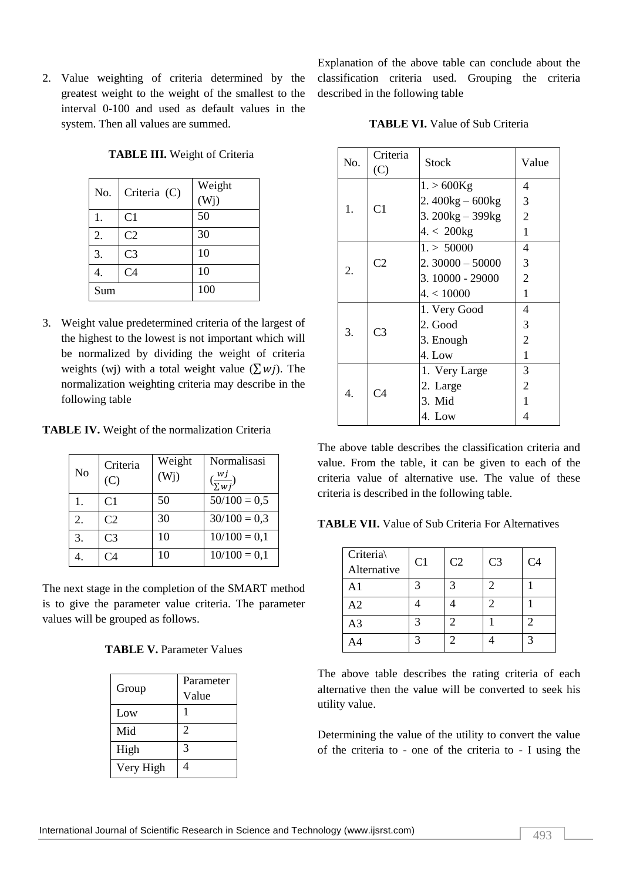2. Value weighting of criteria determined by the greatest weight to the weight of the smallest to the interval 0-100 and used as default values in the system. Then all values are summed.

**TABLE III.** Weight of Criteria

Explanation of the above table can conclude about the classification criteria used. Grouping the criteria described in the following table

| No. | Criteria (C)   | Weight<br>(W <sub>j</sub> ) |
|-----|----------------|-----------------------------|
|     |                |                             |
| 1.  | C <sub>1</sub> | 50                          |
| 2.  | C <sub>2</sub> | 30                          |
| 3.  | C <sub>3</sub> | 10                          |
| 4.  | C <sub>4</sub> | 10                          |
| Sum |                | 100                         |

3. Weight value predetermined criteria of the largest of the highest to the lowest is not important which will be normalized by dividing the weight of criteria weights (wj) with a total weight value ( $\sum w_i$ ). The normalization weighting criteria may describe in the following table

**TABLE IV.** Weight of the normalization Criteria

| N <sub>o</sub> | Criteria<br>(C) | Weight<br>(W <sub>j</sub> ) | Normalisasi<br>$(\frac{wj}{\sum w j})$ |
|----------------|-----------------|-----------------------------|----------------------------------------|
|                | C <sub>1</sub>  | 50                          | $50/100 = 0,5$                         |
| 2.             | C <sub>2</sub>  | 30                          | $30/100 = 0,3$                         |
| 3.             | C <sub>3</sub>  | 10                          | $10/100 = 0,1$                         |
|                | C4              | 10                          | $10/100 = 0,1$                         |

The next stage in the completion of the SMART method is to give the parameter value criteria. The parameter values will be grouped as follows.

| Group     | Parameter<br>Value |
|-----------|--------------------|
| Low       |                    |
| Mid       | $\overline{c}$     |
| High      | 3                  |
| Very High |                    |

| No. | Criteria<br>(C) | Stock             | Value          |
|-----|-----------------|-------------------|----------------|
|     |                 | $1. > 600$ Kg     | 4              |
|     |                 | $2.400kg - 600kg$ | 3              |
| 1.  | C <sub>1</sub>  | 3. 200kg - 399kg  | $\overline{2}$ |
|     |                 | $4 < 200$ kg      | $\mathbf{1}$   |
|     |                 | 1. > 50000        | 4              |
|     | C <sub>2</sub>  | $2.30000 - 50000$ | 3              |
| 2.  |                 | 3.10000 - 29000   | $\overline{2}$ |
|     |                 | 4. < 10000        | $\mathbf{1}$   |
|     | C <sub>3</sub>  | 1. Very Good      | 4              |
|     |                 | 2. Good           | 3              |
| 3.  |                 | 3. Enough         | $\overline{2}$ |
|     |                 | 4. Low            | $\mathbf{1}$   |
|     | C4              | 1. Very Large     | 3              |
| 4.  |                 | 2. Large          | $\overline{2}$ |
|     |                 | 3. Mid            | 1              |
|     |                 | 4. Low            | 4              |

The above table describes the classification criteria and value. From the table, it can be given to each of the criteria value of alternative use. The value of these criteria is described in the following table.

**TABLE VII.** Value of Sub Criteria For Alternatives

| Criteria<br>Alternative | C <sub>1</sub> | C <sub>2</sub> | C <sub>3</sub> | C <sub>4</sub> |
|-------------------------|----------------|----------------|----------------|----------------|
| A1                      | 3              | $\mathbf{R}$   | 2              |                |
| A2                      |                |                | 2              |                |
| A <sub>3</sub>          | 2              | っ              |                |                |
|                         | 2              | ာ              |                |                |

The above table describes the rating criteria of each alternative then the value will be converted to seek his utility value.

Determining the value of the utility to convert the value of the criteria to - one of the criteria to - I using the